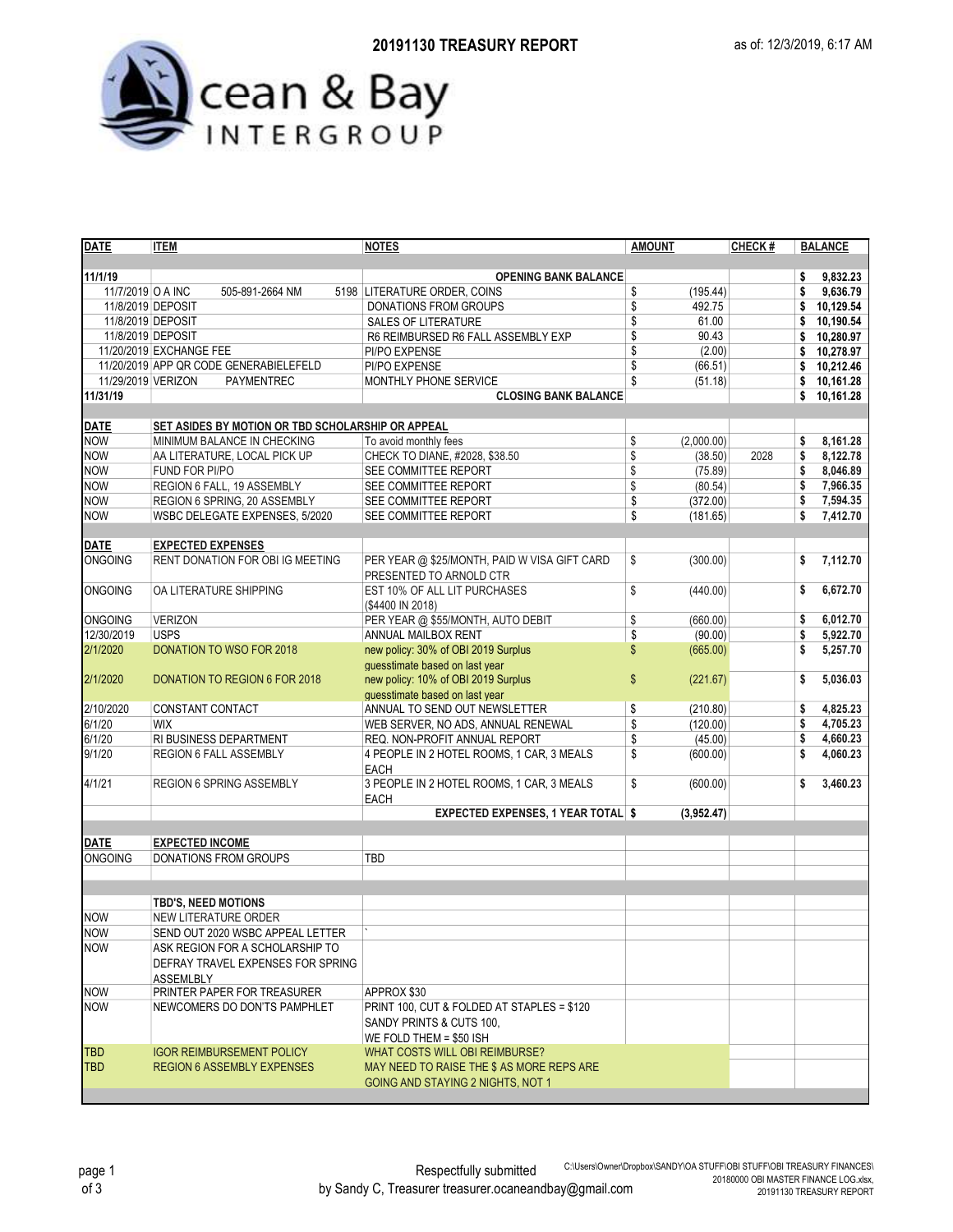

| <b>DATE</b>              | <b>ITEM</b>                                       | <b>NOTES</b>                                            | <b>AMOUNT</b>          | CHECK# |          | <b>BALANCE</b>       |  |  |
|--------------------------|---------------------------------------------------|---------------------------------------------------------|------------------------|--------|----------|----------------------|--|--|
|                          |                                                   |                                                         |                        |        |          |                      |  |  |
| 11/1/19                  |                                                   | <b>OPENING BANK BALANCE</b>                             |                        |        | \$       | 9,832.23             |  |  |
| 11/7/2019 O A INC        | 505-891-2664 NM                                   | 5198 LITERATURE ORDER, COINS                            | \$<br>(195.44)         |        | \$       | 9,636.79             |  |  |
| 11/8/2019 DEPOSIT        |                                                   | DONATIONS FROM GROUPS                                   | \$<br>492.75           |        | \$       | 10,129.54            |  |  |
| 11/8/2019 DEPOSIT        |                                                   | SALES OF LITERATURE                                     | \$<br>61.00            |        | \$       | 10,190.54            |  |  |
| 11/8/2019 DEPOSIT        |                                                   | R6 REIMBURSED R6 FALL ASSEMBLY EXP                      | \$<br>90.43            |        | \$       | 10,280.97            |  |  |
|                          | 11/20/2019 EXCHANGE FEE                           | PI/PO EXPENSE                                           | \$<br>(2.00)           |        | \$       | 10,278.97            |  |  |
|                          | 11/20/2019 APP QR CODE GENERABIELEFELD            | PI/PO EXPENSE                                           | \$<br>(66.51)          |        | \$       | 10,212.46            |  |  |
| 11/29/2019 VERIZON       | PAYMENTREC                                        | MONTHLY PHONE SERVICE                                   | \$<br>(51.18)          |        | \$       | 10,161.28            |  |  |
| 11/31/19                 |                                                   | <b>CLOSING BANK BALANCE</b>                             |                        |        | \$       | 10,161.28            |  |  |
|                          |                                                   |                                                         |                        |        |          |                      |  |  |
| <b>DATE</b>              | SET ASIDES BY MOTION OR TBD SCHOLARSHIP OR APPEAL |                                                         |                        |        |          |                      |  |  |
| <b>NOW</b><br><b>NOW</b> | MINIMUM BALANCE IN CHECKING                       | To avoid monthly fees<br>CHECK TO DIANE, #2028, \$38.50 | \$<br>(2.000.00)<br>\$ |        | s        | 8,161.28             |  |  |
|                          | AA LITERATURE, LOCAL PICK UP                      |                                                         | (38.50)                | 2028   | \$<br>\$ | 8,122.78<br>8,046.89 |  |  |
| <b>NOW</b>               | FUND FOR PI/PO                                    | SEE COMMITTEE REPORT                                    | \$<br>(75.89)          |        |          | 7,966.35             |  |  |
| <b>NOW</b>               | REGION 6 FALL, 19 ASSEMBLY                        | SEE COMMITTEE REPORT                                    | \$<br>(80.54)          |        | \$       |                      |  |  |
| <b>NOW</b>               | REGION 6 SPRING, 20 ASSEMBLY                      | SEE COMMITTEE REPORT                                    | \$<br>(372.00)         |        | \$       | 7,594.35             |  |  |
| <b>NOW</b>               | WSBC DELEGATE EXPENSES, 5/2020                    | SEE COMMITTEE REPORT                                    | \$<br>(181.65)         |        | \$       | 7,412.70             |  |  |
| <b>DATE</b>              | <b>EXPECTED EXPENSES</b>                          |                                                         |                        |        |          |                      |  |  |
| <b>ONGOING</b>           | RENT DONATION FOR OBI IG MEETING                  | PER YEAR @ \$25/MONTH, PAID W VISA GIFT CARD            | \$<br>(300.00)         |        | \$       | 7,112.70             |  |  |
|                          |                                                   | PRESENTED TO ARNOLD CTR                                 |                        |        |          |                      |  |  |
| <b>ONGOING</b>           | OA LITERATURE SHIPPING                            | EST 10% OF ALL LIT PURCHASES                            | \$<br>(440.00)         |        | \$       | 6,672.70             |  |  |
|                          |                                                   | (\$4400 IN 2018)                                        |                        |        |          |                      |  |  |
| <b>ONGOING</b>           | <b>VERIZON</b>                                    | PER YEAR @ \$55/MONTH, AUTO DEBIT                       | \$<br>(660.00)         |        | \$       | 6,012.70             |  |  |
| 12/30/2019               | <b>USPS</b>                                       | ANNUAL MAILBOX RENT                                     | \$<br>(90.00)          |        | \$       | 5,922.70             |  |  |
| 2/1/2020                 | <b>DONATION TO WSO FOR 2018</b>                   | new policy: 30% of OBI 2019 Surplus                     | \$<br>(665.00)         |        | S        | 5,257.70             |  |  |
|                          |                                                   | guesstimate based on last year                          |                        |        |          |                      |  |  |
| 2/1/2020                 | DONATION TO REGION 6 FOR 2018                     | new policy: 10% of OBI 2019 Surplus                     | \$<br>(221.67)         |        | \$       | 5.036.03             |  |  |
|                          |                                                   | quesstimate based on last year                          |                        |        |          |                      |  |  |
| 2/10/2020                | CONSTANT CONTACT                                  | ANNUAL TO SEND OUT NEWSLETTER                           | \$<br>(210.80)         |        | \$       | 4,825.23             |  |  |
| 6/1/20                   | <b>WIX</b>                                        | WEB SERVER, NO ADS, ANNUAL RENEWAL                      | \$<br>(120.00)         |        | \$       | 4,705.23             |  |  |
| 6/1/20                   | RI BUSINESS DEPARTMENT                            | REQ. NON-PROFIT ANNUAL REPORT                           | \$<br>(45.00)          |        | \$       | 4,660.23             |  |  |
| 9/1/20                   | REGION 6 FALL ASSEMBLY                            | 4 PEOPLE IN 2 HOTEL ROOMS, 1 CAR, 3 MEALS               | \$<br>(600.00)         |        | \$       | 4,060.23             |  |  |
|                          |                                                   | <b>EACH</b>                                             |                        |        |          |                      |  |  |
| 4/1/21                   | <b>REGION 6 SPRING ASSEMBLY</b>                   | 3 PEOPLE IN 2 HOTEL ROOMS, 1 CAR, 3 MEALS               | \$<br>(600.00)         |        | \$       | 3,460.23             |  |  |
|                          |                                                   | <b>EACH</b>                                             |                        |        |          |                      |  |  |
|                          |                                                   | <b>EXPECTED EXPENSES, 1 YEAR TOTAL \$</b>               | (3,952.47)             |        |          |                      |  |  |
|                          |                                                   |                                                         |                        |        |          |                      |  |  |
| <b>DATE</b>              | <b>EXPECTED INCOME</b>                            |                                                         |                        |        |          |                      |  |  |
| <b>ONGOING</b>           | <b>DONATIONS FROM GROUPS</b>                      | TBD                                                     |                        |        |          |                      |  |  |
|                          |                                                   |                                                         |                        |        |          |                      |  |  |
|                          |                                                   |                                                         |                        |        |          |                      |  |  |
|                          | <b>TBD'S, NEED MOTIONS</b>                        |                                                         |                        |        |          |                      |  |  |
| <b>NOW</b>               | <b>NEW LITERATURE ORDER</b>                       |                                                         |                        |        |          |                      |  |  |
| <b>NOW</b>               | SEND OUT 2020 WSBC APPEAL LETTER                  |                                                         |                        |        |          |                      |  |  |
| <b>NOW</b>               | ASK REGION FOR A SCHOLARSHIP TO                   |                                                         |                        |        |          |                      |  |  |
|                          | DEFRAY TRAVEL EXPENSES FOR SPRING                 |                                                         |                        |        |          |                      |  |  |
|                          | ASSEMLBLY                                         |                                                         |                        |        |          |                      |  |  |
| <b>NOW</b>               | PRINTER PAPER FOR TREASURER                       | APPROX \$30                                             |                        |        |          |                      |  |  |
| <b>NOW</b>               | NEWCOMERS DO DON'TS PAMPHLET                      | PRINT 100, CUT & FOLDED AT STAPLES = \$120              |                        |        |          |                      |  |  |
|                          |                                                   | SANDY PRINTS & CUTS 100.                                |                        |        |          |                      |  |  |
|                          |                                                   | WE FOLD THEM = \$50 ISH                                 |                        |        |          |                      |  |  |
| <b>TBD</b>               | <b>IGOR REIMBURSEMENT POLICY</b>                  | WHAT COSTS WILL OBI REIMBURSE?                          |                        |        |          |                      |  |  |
| TBD                      | <b>REGION 6 ASSEMBLY EXPENSES</b>                 | MAY NEED TO RAISE THE \$ AS MORE REPS ARE               |                        |        |          |                      |  |  |
|                          |                                                   | GOING AND STAYING 2 NIGHTS, NOT 1                       |                        |        |          |                      |  |  |
|                          |                                                   |                                                         |                        |        |          |                      |  |  |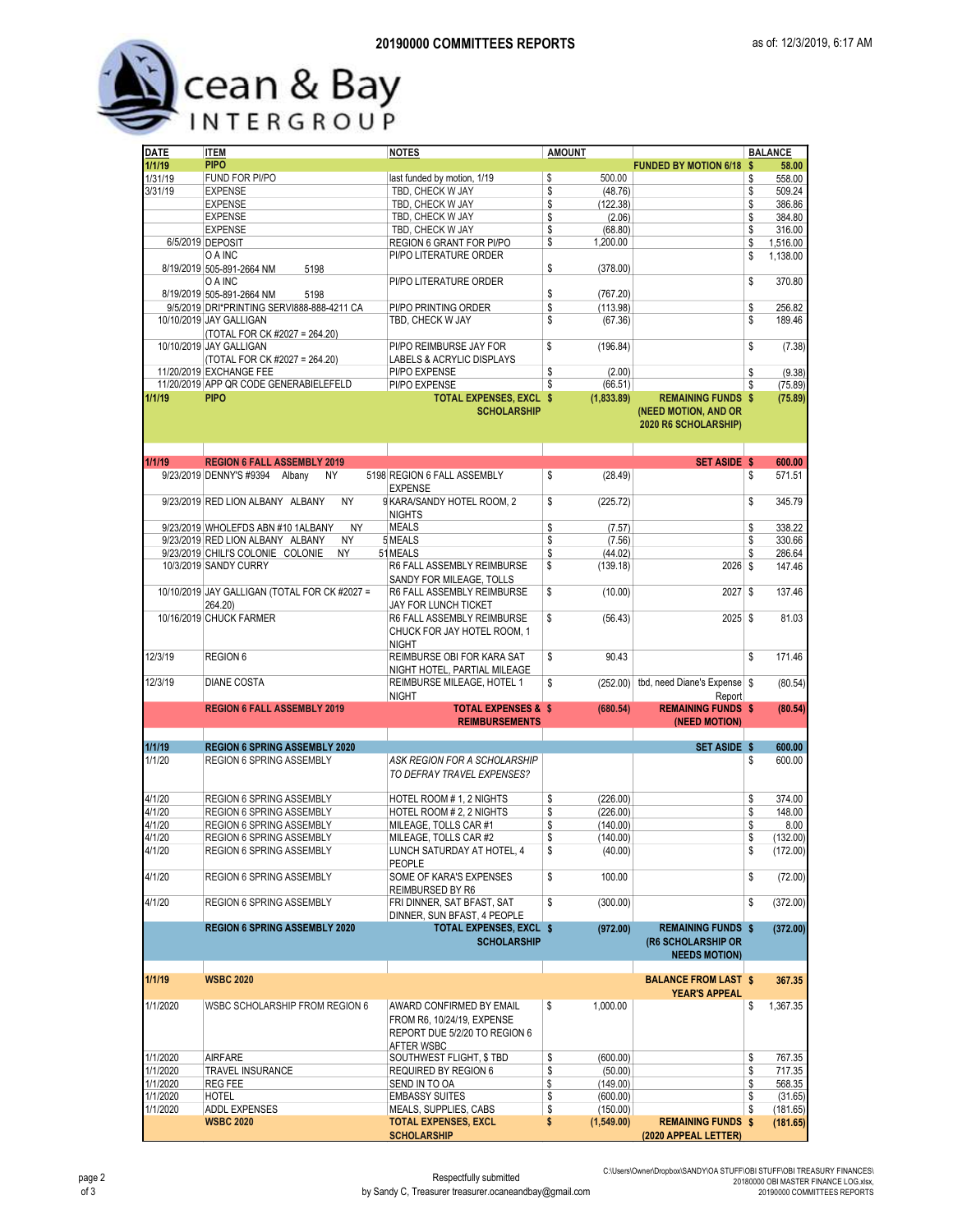## Cean & Bay

| <b>DATE</b> | <b>ITEM</b>                                                                | <b>NOTES</b>                   | <b>AMOUNT</b> |            |                                              | <b>BALANCE</b>         |
|-------------|----------------------------------------------------------------------------|--------------------------------|---------------|------------|----------------------------------------------|------------------------|
| 1/1/19      | <b>PIPO</b>                                                                |                                |               |            | <b>FUNDED BY MOTION 6/18 \$</b>              | 58.00                  |
| 1/31/19     | FUND FOR PI/PO                                                             | last funded by motion, 1/19    | \$            | 500.00     |                                              | \$<br>558.00           |
| 3/31/19     | <b>EXPENSE</b>                                                             | TBD. CHECK W JAY               | \$            | (48.76)    |                                              | \$<br>509.24           |
|             | <b>EXPENSE</b>                                                             | TBD, CHECK W JAY               | \$            | (122.38)   |                                              | \$<br>386.86           |
|             | <b>EXPENSE</b>                                                             | TBD, CHECK W JAY               | \$            | (2.06)     |                                              | \$<br>384.80           |
|             | <b>EXPENSE</b>                                                             | TBD, CHECK W JAY               | \$            | (68.80)    |                                              | \$<br>316.00           |
|             | 6/5/2019 DEPOSIT                                                           | REGION 6 GRANT FOR PI/PO       | \$            | 1,200.00   |                                              | \$<br>1,516.00         |
|             | O A INC                                                                    | PI/PO LITERATURE ORDER         |               |            |                                              | \$<br>1,138.00         |
|             | 8/19/2019 505-891-2664 NM<br>5198                                          |                                | \$            | (378.00)   |                                              |                        |
|             |                                                                            |                                |               |            |                                              |                        |
|             | O A INC                                                                    | PI/PO LITERATURE ORDER         |               |            |                                              | \$<br>370.80           |
|             | 8/19/2019 505-891-2664 NM<br>5198                                          |                                | \$            | (767.20)   |                                              |                        |
|             | 9/5/2019 DRI*PRINTING SERVI888-888-4211 CA                                 | PI/PO PRINTING ORDER           | \$            | (113.98)   |                                              | \$<br>256.82           |
|             | 10/10/2019 JAY GALLIGAN                                                    | TBD, CHECK W JAY               | \$            | (67.36)    |                                              | \$<br>189.46           |
|             | (TOTAL FOR CK #2027 = 264.20)                                              |                                |               |            |                                              |                        |
|             | 10/10/2019 JAY GALLIGAN                                                    | PI/PO REIMBURSE JAY FOR        | \$            | (196.84)   |                                              | \$<br>(7.38)           |
|             | (TOTAL FOR CK #2027 = 264.20)                                              | LABELS & ACRYLIC DISPLAYS      |               |            |                                              |                        |
|             | 11/20/2019 EXCHANGE FEE                                                    | PI/PO EXPENSE                  | \$            | (2.00)     |                                              | \$<br>(9.38)           |
|             | 11/20/2019 APP QR CODE GENERABIELEFELD                                     | PI/PO EXPENSE                  | \$            | (66.51)    |                                              | \$<br>(75.89)          |
| 1/1/19      | <b>PIPO</b>                                                                | <b>TOTAL EXPENSES, EXCL \$</b> |               | (1,833.89) | <b>REMAINING FUNDS \$</b>                    | (75.89)                |
|             |                                                                            | <b>SCHOLARSHIP</b>             |               |            | (NEED MOTION, AND OR<br>2020 R6 SCHOLARSHIP) |                        |
|             |                                                                            |                                |               |            | <b>SET ASIDE \$</b>                          |                        |
| 1/1/19      | <b>REGION 6 FALL ASSEMBLY 2019</b><br>9/23/2019 DENNY'S #9394 Albany<br>NY | 5198 REGION 6 FALL ASSEMBLY    | \$            |            |                                              | \$<br>600.00<br>571.51 |
|             |                                                                            | <b>EXPENSE</b>                 |               | (28.49)    |                                              |                        |
|             |                                                                            |                                |               |            |                                              |                        |
|             | 9/23/2019 RED LION ALBANY ALBANY<br><b>NY</b>                              | 9 KARA/SANDY HOTEL ROOM, 2     | \$            | (225.72)   |                                              | \$<br>345.79           |
|             |                                                                            | <b>NIGHTS</b>                  |               |            |                                              |                        |
|             | <b>NY</b><br>9/23/2019 WHOLEFDS ABN #10 1ALBANY                            | <b>MEALS</b>                   | \$            | (7.57)     |                                              | \$<br>338.22           |
|             | 9/23/2019 RED LION ALBANY ALBANY<br>NY                                     | 5 MEALS                        | \$            | (7.56)     |                                              | \$<br>330.66           |
|             | <b>NY</b><br>9/23/2019 CHILI'S COLONIE COLONIE                             | 51 MEALS                       | \$            | (44.02)    |                                              | \$<br>286.64           |
|             | 10/3/2019 SANDY CURRY                                                      | R6 FALL ASSEMBLY REIMBURSE     | \$            | (139.18)   | 2026 \$                                      | 147.46                 |
|             |                                                                            | SANDY FOR MILEAGE. TOLLS       |               |            |                                              |                        |
|             | 10/10/2019 JAY GALLIGAN (TOTAL FOR CK #2027 =                              | R6 FALL ASSEMBLY REIMBURSE     | \$            | (10.00)    | 2027 \$                                      | 137.46                 |
|             | 264.20)                                                                    | JAY FOR LUNCH TICKET           |               |            |                                              |                        |
|             |                                                                            |                                |               |            |                                              |                        |
|             | 10/16/2019 CHUCK FARMER                                                    | R6 FALL ASSEMBLY REIMBURSE     | \$            | (56.43)    | 2025 \$                                      | 81.03                  |
|             |                                                                            | CHUCK FOR JAY HOTEL ROOM, 1    |               |            |                                              |                        |
|             |                                                                            | <b>NIGHT</b>                   |               |            |                                              |                        |
| 12/3/19     | <b>REGION 6</b>                                                            | REIMBURSE OBI FOR KARA SAT     | \$            | 90.43      |                                              | \$<br>171.46           |
|             |                                                                            | NIGHT HOTEL, PARTIAL MILEAGE   |               |            |                                              |                        |
| 12/3/19     | <b>DIANE COSTA</b>                                                         | REIMBURSE MILEAGE, HOTEL 1     | \$            | (252.00)   | tbd, need Diane's Expense \$                 | (80.54)                |
|             |                                                                            | <b>NIGHT</b>                   |               |            | Report                                       |                        |
|             | <b>REGION 6 FALL ASSEMBLY 2019</b>                                         | <b>TOTAL EXPENSES &amp; \$</b> |               | (680.54)   | <b>REMAINING FUNDS \$</b>                    | (80.54)                |
|             |                                                                            | <b>REIMBURSEMENTS</b>          |               |            | (NEED MOTION)                                |                        |
|             |                                                                            |                                |               |            |                                              |                        |
| 1/1/19      | <b>REGION 6 SPRING ASSEMBLY 2020</b>                                       |                                |               |            | SET ASIDE \$                                 | 600.00                 |
| 1/1/20      | REGION 6 SPRING ASSEMBLY                                                   | ASK REGION FOR A SCHOLARSHIP   |               |            |                                              | \$<br>600.00           |
|             |                                                                            | TO DEFRAY TRAVEL EXPENSES?     |               |            |                                              |                        |
|             |                                                                            |                                |               |            |                                              |                        |
| 4/1/20      | REGION 6 SPRING ASSEMBLY                                                   | HOTEL ROOM # 1, 2 NIGHTS       | \$            | (226.00)   |                                              | \$<br>374.00           |
| 4/1/20      | <b>REGION 6 SPRING ASSEMBLY</b>                                            | HOTEL ROOM # 2. 2 NIGHTS       | \$            | (226.00)   |                                              | \$<br>148.00           |
|             |                                                                            |                                |               |            |                                              |                        |
| 4/1/20      | REGION 6 SPRING ASSEMBLY                                                   | MILEAGE. TOLLS CAR #1          | \$            | (140.00)   |                                              | \$<br>8.00             |
| 4/1/20      | <b>REGION 6 SPRING ASSEMBLY</b>                                            | MILEAGE, TOLLS CAR #2          | \$            | (140.00)   |                                              | \$<br>(132.00)         |
| 4/1/20      | <b>REGION 6 SPRING ASSEMBLY</b>                                            | LUNCH SATURDAY AT HOTEL, 4     | \$            | (40.00)    |                                              | \$<br>(172.00)         |
|             |                                                                            | PEOPLE                         |               |            |                                              |                        |
| 4/1/20      | <b>REGION 6 SPRING ASSEMBLY</b>                                            | SOME OF KARA'S EXPENSES        | \$            | 100.00     |                                              | \$<br>(72.00)          |
|             |                                                                            | REIMBURSED BY R6               |               |            |                                              |                        |
| 4/1/20      | REGION 6 SPRING ASSEMBLY                                                   | FRI DINNER, SAT BFAST, SAT     | \$            | (300.00)   |                                              | \$<br>(372.00)         |
|             |                                                                            | DINNER, SUN BFAST, 4 PEOPLE    |               |            |                                              |                        |
|             | <b>REGION 6 SPRING ASSEMBLY 2020</b>                                       | TOTAL EXPENSES, EXCL \$        |               | (972.00)   | <b>REMAINING FUNDS \$</b>                    | (372.00)               |
|             |                                                                            |                                |               |            |                                              |                        |
|             |                                                                            | <b>SCHOLARSHIP</b>             |               |            | (R6 SCHOLARSHIP OR                           |                        |
|             |                                                                            |                                |               |            | <b>NEEDS MOTION)</b>                         |                        |
|             |                                                                            |                                |               |            |                                              |                        |
| 1/1/19      | <b>WSBC 2020</b>                                                           |                                |               |            | <b>BALANCE FROM LAST \$</b>                  | 367.35                 |
|             |                                                                            |                                |               |            | <b>YEAR'S APPEAL</b>                         |                        |
| 1/1/2020    | WSBC SCHOLARSHIP FROM REGION 6                                             | AWARD CONFIRMED BY EMAIL       | \$            | 1,000.00   |                                              | \$<br>1,367.35         |
|             |                                                                            | FROM R6, 10/24/19, EXPENSE     |               |            |                                              |                        |
|             |                                                                            | REPORT DUE 5/2/20 TO REGION 6  |               |            |                                              |                        |
|             |                                                                            | AFTER WSBC                     |               |            |                                              |                        |
| 1/1/2020    | <b>AIRFARE</b>                                                             | SOUTHWEST FLIGHT, \$TBD        | \$            | (600.00)   |                                              | \$<br>767.35           |
| 1/1/2020    | TRAVEL INSURANCE                                                           | REQUIRED BY REGION 6           | \$            | (50.00)    |                                              | \$<br>717.35           |
| 1/1/2020    | <b>REG FEE</b>                                                             | SEND IN TO OA                  | \$            | (149.00)   |                                              | \$<br>568.35           |
| 1/1/2020    | <b>HOTEL</b>                                                               | <b>EMBASSY SUITES</b>          | \$            | (600.00)   |                                              | \$<br>(31.65)          |
| 1/1/2020    | ADDL EXPENSES                                                              | MEALS, SUPPLIES, CABS          | \$            | (150.00)   |                                              | \$<br>(181.65)         |
|             | <b>WSBC 2020</b>                                                           | <b>TOTAL EXPENSES, EXCL</b>    | \$            |            | <b>REMAINING FUNDS \$</b>                    |                        |
|             |                                                                            |                                |               | (1,549.00) |                                              | (181.65)               |
|             |                                                                            | <b>SCHOLARSHIP</b>             |               |            | (2020 APPEAL LETTER)                         |                        |